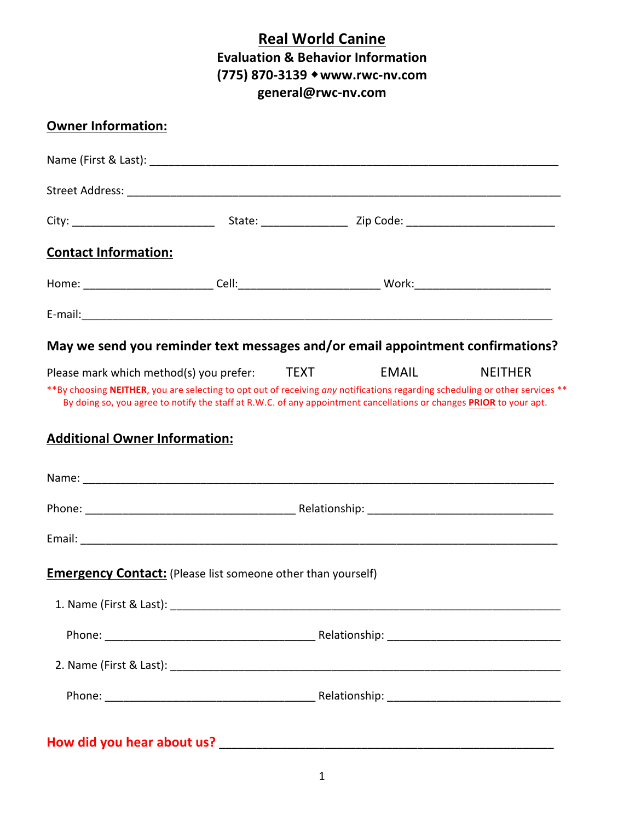# **Real World Canine Evaluation & Behavior Information (775)%870=3139%**!**www.rwc=nv.com general@rwc=nv.com**

| <b>Owner Information:</b>                                                                                                     |  |                                                                                                                     |                |
|-------------------------------------------------------------------------------------------------------------------------------|--|---------------------------------------------------------------------------------------------------------------------|----------------|
|                                                                                                                               |  |                                                                                                                     |                |
|                                                                                                                               |  |                                                                                                                     |                |
|                                                                                                                               |  |                                                                                                                     |                |
| <b>Contact Information:</b>                                                                                                   |  |                                                                                                                     |                |
|                                                                                                                               |  |                                                                                                                     |                |
|                                                                                                                               |  |                                                                                                                     |                |
| May we send you reminder text messages and/or email appointment confirmations?                                                |  |                                                                                                                     |                |
| Please mark which method(s) you prefer: TEXT EMAIL                                                                            |  |                                                                                                                     | <b>NEITHER</b> |
| ** By choosing NEITHER, you are selecting to opt out of receiving any notifications regarding scheduling or other services ** |  | By doing so, you agree to notify the staff at R.W.C. of any appointment cancellations or changes PRIOR to your apt. |                |
|                                                                                                                               |  |                                                                                                                     |                |
| <b>Additional Owner Information:</b>                                                                                          |  |                                                                                                                     |                |
|                                                                                                                               |  |                                                                                                                     |                |
|                                                                                                                               |  |                                                                                                                     |                |
|                                                                                                                               |  |                                                                                                                     |                |
| <b>Emergency Contact:</b> (Please list someone other than yourself)                                                           |  |                                                                                                                     |                |
|                                                                                                                               |  |                                                                                                                     |                |
|                                                                                                                               |  |                                                                                                                     |                |
|                                                                                                                               |  |                                                                                                                     |                |
|                                                                                                                               |  |                                                                                                                     |                |
|                                                                                                                               |  |                                                                                                                     |                |
| How did you hear about us?                                                                                                    |  |                                                                                                                     |                |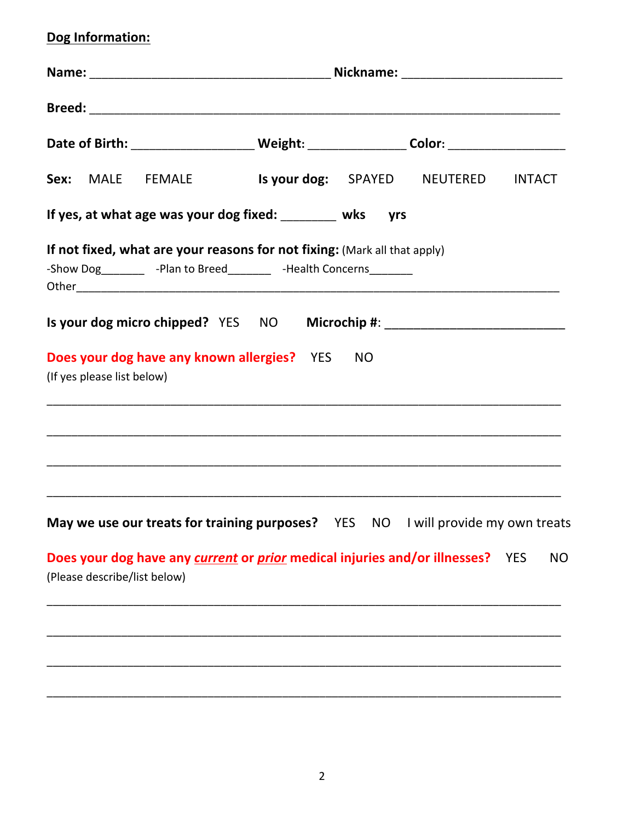# Dog Information:

|                              | Date of Birth: _________________________ Weight: _________________ Color: _________________________                                                  |  |     |  |           |
|------------------------------|------------------------------------------------------------------------------------------------------------------------------------------------------|--|-----|--|-----------|
|                              | Sex: MALE FEMALE Is your dog: SPAYED NEUTERED INTACT                                                                                                 |  |     |  |           |
|                              | If yes, at what age was your dog fixed: ________ wks                                                                                                 |  | yrs |  |           |
|                              | If not fixed, what are your reasons for not fixing: (Mark all that apply)<br>-Show Dog ___________ -Plan to Breed__________ -Health Concerns________ |  |     |  |           |
|                              | Is your dog micro chipped? YES NO Microchip #: _________________________________                                                                     |  |     |  |           |
| (If yes please list below)   | Does your dog have any known allergies? YES NO                                                                                                       |  |     |  |           |
|                              | May we use our treats for training purposes? YES NO I will provide my own treats                                                                     |  |     |  |           |
| (Please describe/list below) | Does your dog have any current or prior medical injuries and/or illnesses? YES                                                                       |  |     |  | <b>NO</b> |
|                              |                                                                                                                                                      |  |     |  |           |
|                              |                                                                                                                                                      |  |     |  |           |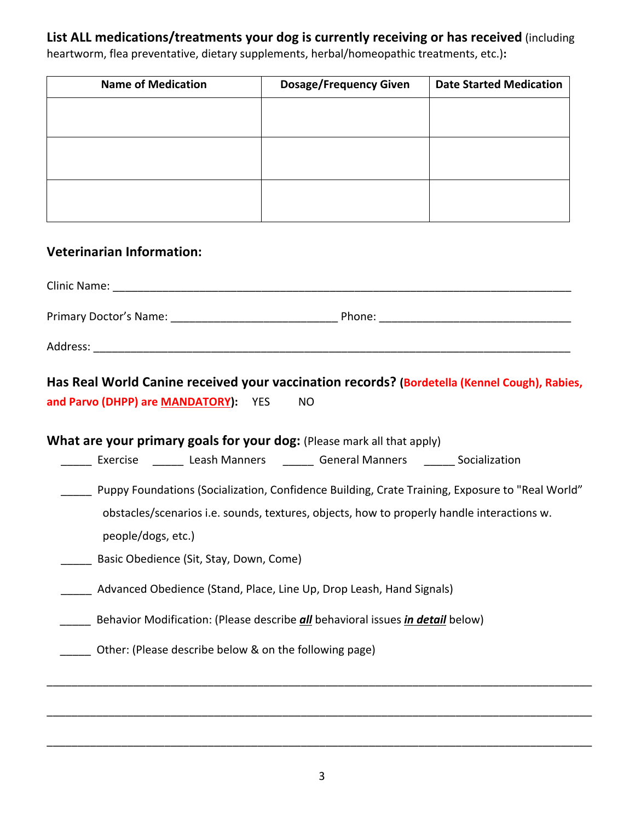## List ALL medications/treatments your dog is currently receiving or has received (including

**Name of Medication The Cosage/Frequency Given** | Date Started Medication

heartworm, flea preventative, dietary supplements, herbal/homeopathic treatments, etc.):

#### **Veterinarian Information:**

| <b>Clinic Name:</b>    |        |  |
|------------------------|--------|--|
| Primary Doctor's Name: | Phone: |  |
| Address:               |        |  |

**Has Real World Canine received your vaccination records? (Bordetella (Kennel Cough), Rabies, and Parvo (DHPP) are MANDATORY):** YES NO

**What are your primary goals for your dog:** (Please mark all that apply) \_\_\_\_\_ Exercise \_\_\_\_\_\_ Leash Manners \_\_\_\_\_\_ General Manners \_\_\_\_\_\_ Socialization \_\_\_\_\_!!Puppy!Foundations!(Socialization,!Confidence!Building,!Crate Training, Exposure!to!"Real!World"! obstacles/scenarios i.e. sounds, textures, objects, how to properly handle interactions w. people/dogs, etc.) Basic Obedience (Sit, Stay, Down, Come) Advanced Obedience (Stand, Place, Line Up, Drop Leash, Hand Signals) **EXECTE:** Behavior Modification: (Please describe *all* behavioral issues *in detail* below) Other: (Please describe below & on the following page) \_\_\_\_\_\_\_\_\_\_\_\_\_\_\_\_\_\_\_\_\_\_\_\_\_\_\_\_\_\_\_\_\_\_\_\_\_\_\_\_\_\_\_\_\_\_\_\_\_\_\_\_\_\_\_\_\_\_\_\_\_\_\_\_\_\_\_\_\_\_\_\_\_\_\_\_\_\_\_\_\_\_\_\_\_\_\_\_

\_\_\_\_\_\_\_\_\_\_\_\_\_\_\_\_\_\_\_\_\_\_\_\_\_\_\_\_\_\_\_\_\_\_\_\_\_\_\_\_\_\_\_\_\_\_\_\_\_\_\_\_\_\_\_\_\_\_\_\_\_\_\_\_\_\_\_\_\_\_\_\_\_\_\_\_\_\_\_\_\_\_\_\_\_\_\_\_

\_\_\_\_\_\_\_\_\_\_\_\_\_\_\_\_\_\_\_\_\_\_\_\_\_\_\_\_\_\_\_\_\_\_\_\_\_\_\_\_\_\_\_\_\_\_\_\_\_\_\_\_\_\_\_\_\_\_\_\_\_\_\_\_\_\_\_\_\_\_\_\_\_\_\_\_\_\_\_\_\_\_\_\_\_\_\_\_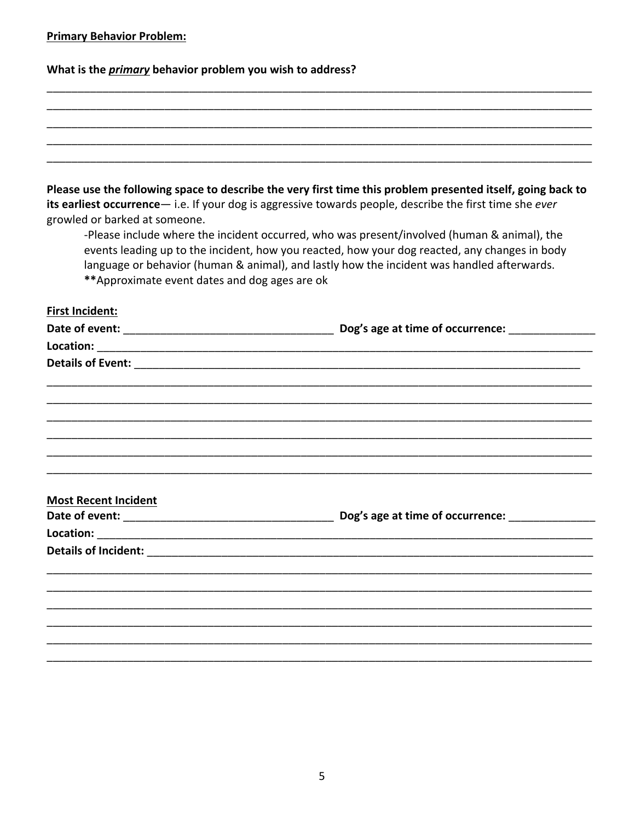| <b>Primary Behavior Problem:</b> |
|----------------------------------|
|----------------------------------|

What is the *primary* behavior problem you wish to address?

| growled or barked at someone.<br>** Approximate event dates and dog ages are ok                                                                                                                                                | Please use the following space to describe the very first time this problem presented itself, going back to<br>its earliest occurrence - i.e. If your dog is aggressive towards people, describe the first time she ever<br>-Please include where the incident occurred, who was present/involved (human & animal), the<br>events leading up to the incident, how you reacted, how your dog reacted, any changes in body<br>language or behavior (human & animal), and lastly how the incident was handled afterwards. |
|--------------------------------------------------------------------------------------------------------------------------------------------------------------------------------------------------------------------------------|------------------------------------------------------------------------------------------------------------------------------------------------------------------------------------------------------------------------------------------------------------------------------------------------------------------------------------------------------------------------------------------------------------------------------------------------------------------------------------------------------------------------|
| <b>First Incident:</b>                                                                                                                                                                                                         |                                                                                                                                                                                                                                                                                                                                                                                                                                                                                                                        |
|                                                                                                                                                                                                                                |                                                                                                                                                                                                                                                                                                                                                                                                                                                                                                                        |
|                                                                                                                                                                                                                                |                                                                                                                                                                                                                                                                                                                                                                                                                                                                                                                        |
| Details of Event: The Context of The Context of Event: The Context of The Context of The Context of The Context of The Context of The Context of The Context of The Context of The Context of The Context of The Context of Th |                                                                                                                                                                                                                                                                                                                                                                                                                                                                                                                        |
|                                                                                                                                                                                                                                |                                                                                                                                                                                                                                                                                                                                                                                                                                                                                                                        |
|                                                                                                                                                                                                                                |                                                                                                                                                                                                                                                                                                                                                                                                                                                                                                                        |
|                                                                                                                                                                                                                                |                                                                                                                                                                                                                                                                                                                                                                                                                                                                                                                        |
|                                                                                                                                                                                                                                |                                                                                                                                                                                                                                                                                                                                                                                                                                                                                                                        |
|                                                                                                                                                                                                                                |                                                                                                                                                                                                                                                                                                                                                                                                                                                                                                                        |
|                                                                                                                                                                                                                                |                                                                                                                                                                                                                                                                                                                                                                                                                                                                                                                        |
|                                                                                                                                                                                                                                |                                                                                                                                                                                                                                                                                                                                                                                                                                                                                                                        |
| <b>Most Recent Incident</b>                                                                                                                                                                                                    |                                                                                                                                                                                                                                                                                                                                                                                                                                                                                                                        |
|                                                                                                                                                                                                                                | Dog's age at time of occurrence:                                                                                                                                                                                                                                                                                                                                                                                                                                                                                       |
|                                                                                                                                                                                                                                |                                                                                                                                                                                                                                                                                                                                                                                                                                                                                                                        |
| <b>Details of Incident:</b>                                                                                                                                                                                                    |                                                                                                                                                                                                                                                                                                                                                                                                                                                                                                                        |
|                                                                                                                                                                                                                                |                                                                                                                                                                                                                                                                                                                                                                                                                                                                                                                        |
|                                                                                                                                                                                                                                |                                                                                                                                                                                                                                                                                                                                                                                                                                                                                                                        |
|                                                                                                                                                                                                                                |                                                                                                                                                                                                                                                                                                                                                                                                                                                                                                                        |
|                                                                                                                                                                                                                                |                                                                                                                                                                                                                                                                                                                                                                                                                                                                                                                        |
|                                                                                                                                                                                                                                |                                                                                                                                                                                                                                                                                                                                                                                                                                                                                                                        |
|                                                                                                                                                                                                                                |                                                                                                                                                                                                                                                                                                                                                                                                                                                                                                                        |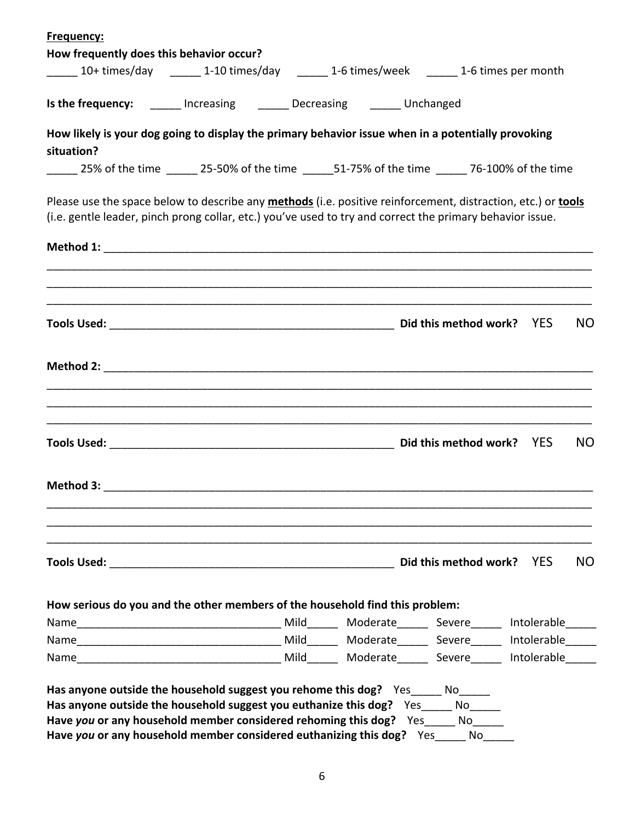| Frequency:                               |                                                                                                                                                                                                                           |  |           |
|------------------------------------------|---------------------------------------------------------------------------------------------------------------------------------------------------------------------------------------------------------------------------|--|-----------|
| How frequently does this behavior occur? |                                                                                                                                                                                                                           |  |           |
|                                          | 10+ times/day 10.10 times/day 1-6 times/week 1-0 times/week 2000 1-6 times per month                                                                                                                                      |  |           |
|                                          | <b>Is the frequency:</b> ______ Increasing _______ Decreasing _______ Unchanged                                                                                                                                           |  |           |
|                                          | How likely is your dog going to display the primary behavior issue when in a potentially provoking                                                                                                                        |  |           |
| situation?                               |                                                                                                                                                                                                                           |  |           |
|                                          | 25% of the time 15-50% of the time 151-75% of the time 25% of the time 25% of the time                                                                                                                                    |  |           |
|                                          | Please use the space below to describe any methods (i.e. positive reinforcement, distraction, etc.) or tools<br>(i.e. gentle leader, pinch prong collar, etc.) you've used to try and correct the primary behavior issue. |  |           |
|                                          |                                                                                                                                                                                                                           |  |           |
|                                          |                                                                                                                                                                                                                           |  |           |
|                                          |                                                                                                                                                                                                                           |  | <b>NO</b> |
|                                          |                                                                                                                                                                                                                           |  |           |
|                                          |                                                                                                                                                                                                                           |  | NO        |
|                                          |                                                                                                                                                                                                                           |  |           |
|                                          |                                                                                                                                                                                                                           |  | NO        |
|                                          |                                                                                                                                                                                                                           |  |           |
|                                          | How serious do you and the other members of the household find this problem:                                                                                                                                              |  |           |
|                                          |                                                                                                                                                                                                                           |  |           |
|                                          |                                                                                                                                                                                                                           |  |           |
|                                          |                                                                                                                                                                                                                           |  |           |
|                                          | Has anyone outside the household suggest you rehome this dog? Yes _____ No                                                                                                                                                |  |           |
|                                          | Has anyone outside the household suggest you euthanize this dog? Yes Mo                                                                                                                                                   |  |           |
|                                          | Have you or any household member considered rehoming this dog? Yes_____ No_____                                                                                                                                           |  |           |
|                                          | Have you or any household member considered euthanizing this dog? Yes No                                                                                                                                                  |  |           |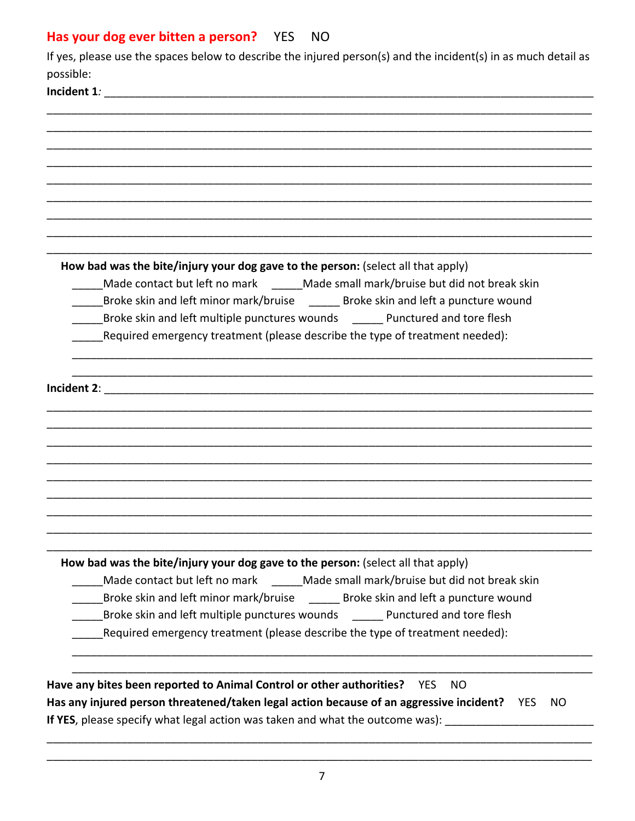#### Has your dog ever bitten a person? YES **NO**

| If yes, please use the spaces below to describe the injured person(s) and the incident(s) in as much detail as |
|----------------------------------------------------------------------------------------------------------------|
| possible:                                                                                                      |
| Incident 1:                                                                                                    |

How bad was the bite/injury your dog gave to the person: (select all that apply)

Made contact but left no mark Made small mark/bruise but did not break skin

\_\_\_\_Broke skin and left minor mark/bruise \_\_\_\_\_\_\_ Broke skin and left a puncture wound

Broke skin and left multiple punctures wounds Punctured and tore flesh

Required emergency treatment (please describe the type of treatment needed):

Incident 2:

How bad was the bite/injury your dog gave to the person: (select all that apply)

Made contact but left no mark Made small mark/bruise but did not break skin

Broke skin and left minor mark/bruise Broke skin and left a puncture wound

\_\_\_\_Broke skin and left multiple punctures wounds \_\_\_\_\_\_\_ Punctured and tore flesh

Required emergency treatment (please describe the type of treatment needed):

Have any bites been reported to Animal Control or other authorities? YES NO Has any injured person threatened/taken legal action because of an aggressive incident? YES **NO** If YES, please specify what legal action was taken and what the outcome was):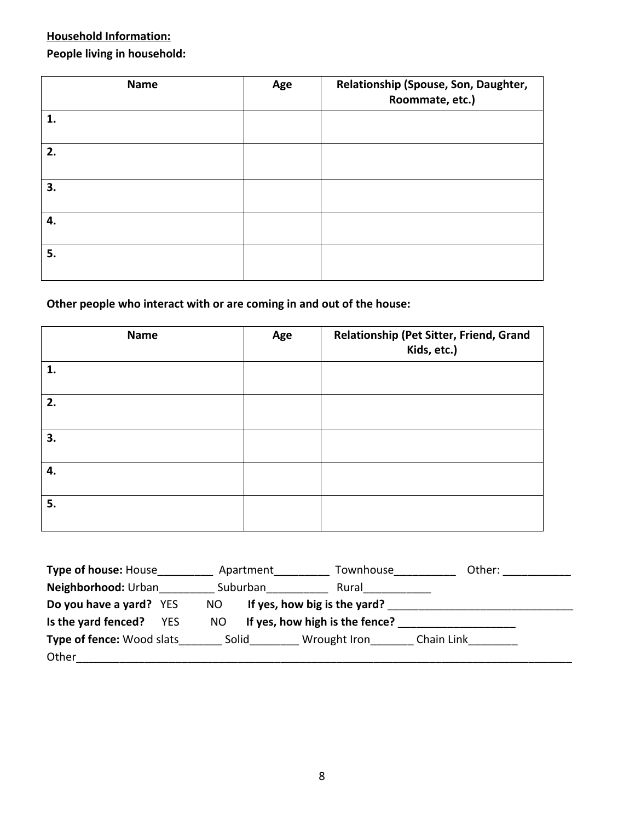### **Household Information:** People living in household:

| <b>Name</b> | Age | Relationship (Spouse, Son, Daughter,<br>Roommate, etc.) |
|-------------|-----|---------------------------------------------------------|
| 1.          |     |                                                         |
| 2.          |     |                                                         |
| 3.          |     |                                                         |
| 4.          |     |                                                         |
| 5.          |     |                                                         |

#### **Other people who interact with or are coming in and out of the house:**

| <b>Name</b> | Age | Relationship (Pet Sitter, Friend, Grand<br>Kids, etc.) |
|-------------|-----|--------------------------------------------------------|
| 1.          |     |                                                        |
| 2.          |     |                                                        |
| 3.          |     |                                                        |
| 4.          |     |                                                        |
| 5.          |     |                                                        |

| <b>Type of house: House</b>       | Apartment | Townhouse                      | Other:     |
|-----------------------------------|-----------|--------------------------------|------------|
| Neighborhood: Urban               | Suburban  | Rural                          |            |
| Do you have a yard? YES           | NO.       | If yes, how big is the yard?   |            |
| Is the yard fenced?<br><b>YES</b> | NO        | If yes, how high is the fence? |            |
| <b>Type of fence: Wood slats</b>  | Solid     | Wrought Iron                   | Chain Link |
| Other                             |           |                                |            |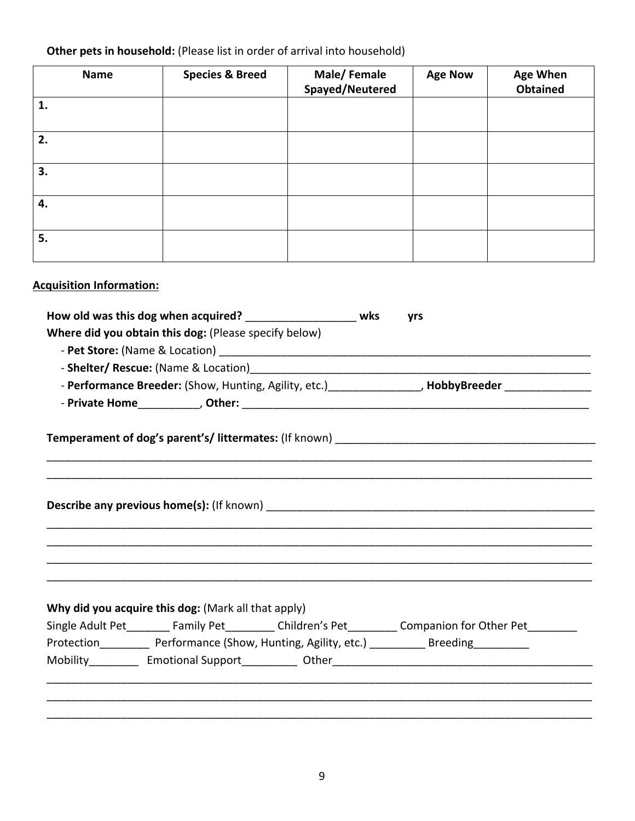### Other pets in household: (Please list in order of arrival into household)

| <b>Name</b>                     | <b>Species &amp; Breed</b>                                    | Male/Female<br>Spayed/Neutered                                                                                  | <b>Age Now</b> | <b>Age When</b><br><b>Obtained</b> |
|---------------------------------|---------------------------------------------------------------|-----------------------------------------------------------------------------------------------------------------|----------------|------------------------------------|
| 1.                              |                                                               |                                                                                                                 |                |                                    |
| 2.                              |                                                               |                                                                                                                 |                |                                    |
| 3.                              |                                                               |                                                                                                                 |                |                                    |
| 4.                              |                                                               |                                                                                                                 |                |                                    |
| 5.                              |                                                               |                                                                                                                 |                |                                    |
| <b>Acquisition Information:</b> |                                                               |                                                                                                                 |                |                                    |
|                                 | How old was this dog when acquired? _____________________ wks |                                                                                                                 | yrs            |                                    |
|                                 | Where did you obtain this dog: (Please specify below)         |                                                                                                                 |                |                                    |
|                                 |                                                               |                                                                                                                 |                |                                    |
|                                 |                                                               |                                                                                                                 |                |                                    |
|                                 |                                                               | - Performance Breeder: (Show, Hunting, Agility, etc.) _______________, HobbyBreeder _______________             |                |                                    |
|                                 |                                                               |                                                                                                                 |                |                                    |
|                                 |                                                               |                                                                                                                 |                |                                    |
|                                 |                                                               |                                                                                                                 |                |                                    |
|                                 |                                                               |                                                                                                                 |                |                                    |
|                                 | Why did you acquire this dog: (Mark all that apply)           |                                                                                                                 |                |                                    |
|                                 |                                                               | Single Adult Pet Family Pet Children's Pet Companion for Other Pet                                              |                |                                    |
|                                 |                                                               | Protection___________ Performance (Show, Hunting, Agility, etc.) __________ Breeding__________                  |                |                                    |
|                                 |                                                               | Mobility Emotional Support Other Communication Contains Communication of the Communication of the Communication |                |                                    |
|                                 |                                                               |                                                                                                                 |                |                                    |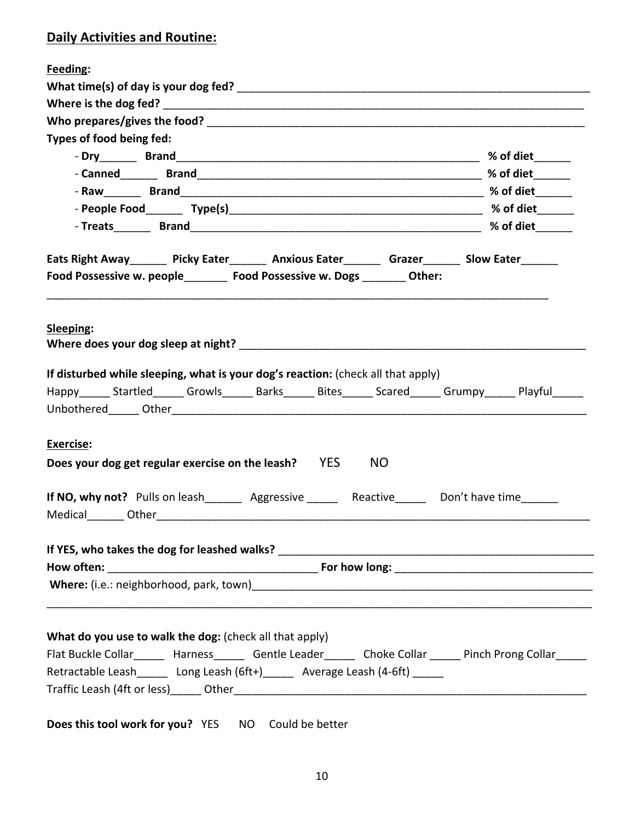### **Daily Activities and Routine:**

| Feeding:                                                                                                                                                                                                                                   |  |
|--------------------------------------------------------------------------------------------------------------------------------------------------------------------------------------------------------------------------------------------|--|
|                                                                                                                                                                                                                                            |  |
|                                                                                                                                                                                                                                            |  |
|                                                                                                                                                                                                                                            |  |
| Types of food being fed:                                                                                                                                                                                                                   |  |
|                                                                                                                                                                                                                                            |  |
|                                                                                                                                                                                                                                            |  |
|                                                                                                                                                                                                                                            |  |
|                                                                                                                                                                                                                                            |  |
|                                                                                                                                                                                                                                            |  |
| Eats Right Away______ Picky Eater______ Anxious Eater______ Grazer______ Slow Eater______                                                                                                                                                  |  |
| Food Possessive w. people________ Food Possessive w. Dogs _______ Other:                                                                                                                                                                   |  |
| Sleeping:<br>Where does your dog sleep at night? Where the control of the control of the control of the control of the control of the control of the control of the control of the control of the control of the control of the control of |  |
| If disturbed while sleeping, what is your dog's reaction: (check all that apply)                                                                                                                                                           |  |
| Happy Startled Growls Barks Bites Scared Grumpy Playful                                                                                                                                                                                    |  |
| <b>Exercise:</b>                                                                                                                                                                                                                           |  |
| Does your dog get regular exercise on the leash? YES NO                                                                                                                                                                                    |  |
| If NO, why not? Pulls on leash__________ Aggressive _________ Reactive________ Don't have time_______                                                                                                                                      |  |
|                                                                                                                                                                                                                                            |  |
|                                                                                                                                                                                                                                            |  |
|                                                                                                                                                                                                                                            |  |
|                                                                                                                                                                                                                                            |  |
|                                                                                                                                                                                                                                            |  |
| What do you use to walk the dog: (check all that apply)                                                                                                                                                                                    |  |
| Flat Buckle Collar______ Harness______ Gentle Leader______ Choke Collar _____ Pinch Prong Collar_____                                                                                                                                      |  |
| Retractable Leash______ Long Leash (6ft+)______ Average Leash (4-6ft) ______                                                                                                                                                               |  |
|                                                                                                                                                                                                                                            |  |
| Does this tool work for you? YES NO Could be better                                                                                                                                                                                        |  |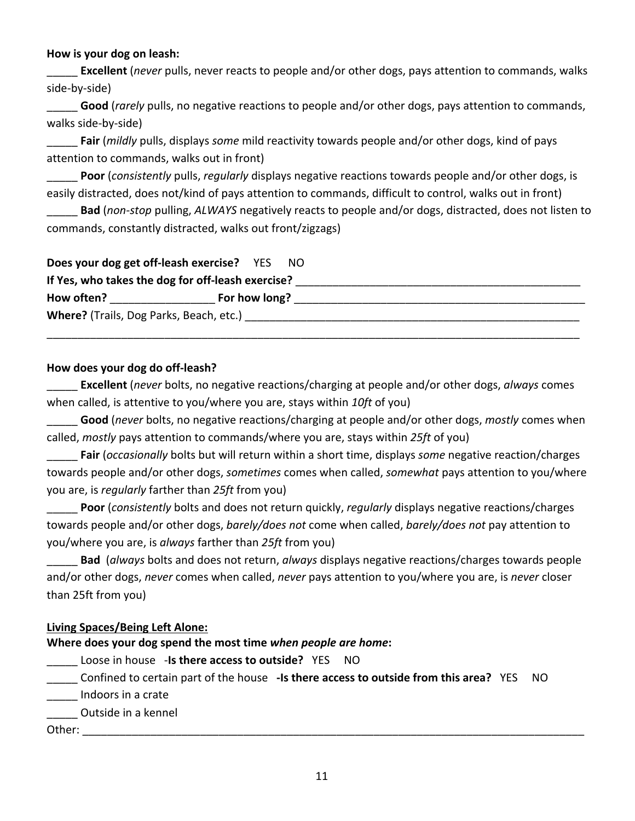#### **How is your dog on leash:**

**Excellent** (*never* pulls, never reacts to people and/or other dogs, pays attention to commands, walks side-by-side)

Good (*rarely* pulls, no negative reactions to people and/or other dogs, pays attention to commands, walks side-by-side)

Fair (*mildly* pulls, displays *some* mild reactivity towards people and/or other dogs, kind of pays attention to commands, walks out in front)

Poor (*consistently* pulls, *regularly* displays negative reactions towards people and/or other dogs, is easily distracted, does not/kind of pays attention to commands, difficult to control, walks out in front)

Bad (non-stop pulling, ALWAYS negatively reacts to people and/or dogs, distracted, does not listen to commands, constantly distracted, walks out front/zigzags)

| Does your dog get off-leash exercise? YES NO      |               |  |
|---------------------------------------------------|---------------|--|
| If Yes, who takes the dog for off-leash exercise? |               |  |
| How often?                                        | For how long? |  |
|                                                   |               |  |
|                                                   |               |  |

#### How does your dog do off-leash?

**Excellent** (*never* bolts, no negative reactions/charging at people and/or other dogs, *always* comes when called, is attentive to you/where you are, stays within 10ft of you)

Good (*never* bolts, no negative reactions/charging at people and/or other dogs, *mostly* comes when called, *mostly* pays attention to commands/where you are, stays within 25ft of you)

**Fair** (*occasionally* bolts but will return within a short time, displays *some* negative reaction/charges towards people and/or other dogs, *sometimes* comes when called, *somewhat* pays attention to you/where you are, is *regularly* farther than 25ft from you)

Poor (*consistently* bolts and does not return quickly, *regularly* displays negative reactions/charges towards people and/or other dogs, *barely/does not* come when called, *barely/does not* pay attention to you/where you are, is *always* farther than 25ft from you)

**Bad** (*always* bolts and does not return, *always* displays negative reactions/charges towards people and/or other dogs, *never* comes when called, *never* pays attention to you/where you are, is *never* closer than 25ft from you)

#### **Living%Spaces/Being%Left%Alone:**

**Where does your dog spend the most time when people are home:** 

- Loose in house -**Is there access to outside?** YES NO
- Lettain part of the house -Is there access to outside from this area? YES NO
- Indoors in a crate

**\_\_\_\_** Outside in a kennel

Other:!\_\_\_\_\_\_\_\_\_\_\_\_\_\_\_\_\_\_\_\_\_\_\_\_\_\_\_\_\_\_\_\_\_\_\_\_\_\_\_\_\_\_\_\_\_\_\_\_\_\_\_\_\_\_\_\_\_\_\_\_\_\_\_\_\_\_\_\_\_\_\_\_\_\_\_\_\_\_\_\_\_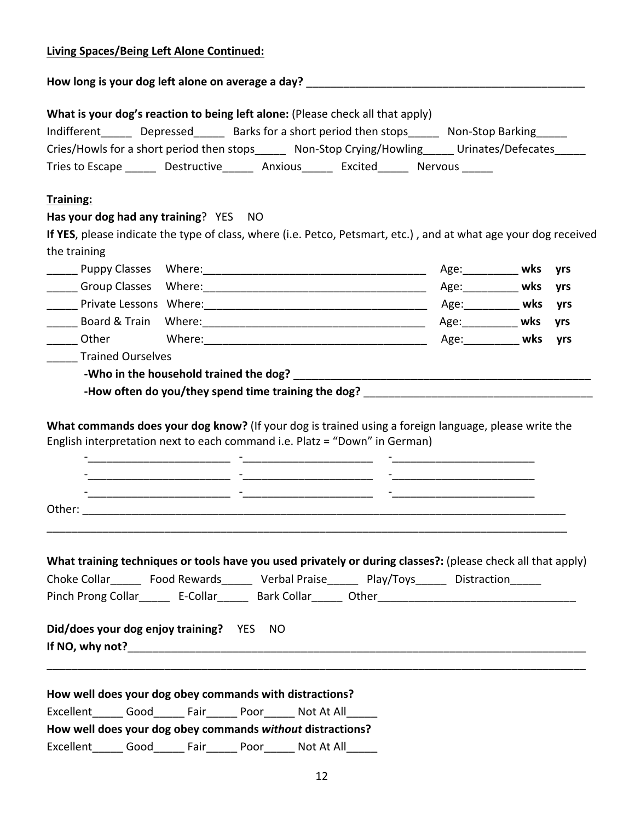| How long is your dog left alone on average a day? _______________________________<br>What is your dog's reaction to being left alone: (Please check all that apply)<br>Indifferent Depressed Barks for a short period then stops Non-Stop Barking<br>Cries/Howls for a short period then stops Mon-Stop Crying/Howling Urinates/Defecates<br>Tries to Escape bestructive Anxious Excited Nervous<br>Has your dog had any training? YES NO<br>If YES, please indicate the type of class, where (i.e. Petco, Petsmart, etc.), and at what age your dog received<br>the training<br><b>EXECUTE:</b> Private Lessons Where: <b>EXECUTE:</b> Age: <b>Age:</b> When <b>wks</b> yrs<br>_______ Other<br><b>yrs</b><br><b>Trained Ourselves</b><br>-How often do you/they spend time training the dog? _____________________________<br>What commands does your dog know? (If your dog is trained using a foreign language, please write the<br>English interpretation next to each command i.e. Platz = "Down" in German)<br>the contract of the contract of the contract of the contract of the contract of<br>What training techniques or tools have you used privately or during classes?: (please check all that apply)<br>Choke Collar________ Food Rewards_________ Verbal Praise_________ Play/Toys_______ Distraction______<br>Did/does your dog enjoy training? YES NO<br>How well does your dog obey commands with distractions?<br>Excellent_______ Good_______ Fair_______ Poor_______ Not At All_<br>How well does your dog obey commands without distractions? | <b>Living Spaces/Being Left Alone Continued:</b> |      |      |            |  |  |
|-----------------------------------------------------------------------------------------------------------------------------------------------------------------------------------------------------------------------------------------------------------------------------------------------------------------------------------------------------------------------------------------------------------------------------------------------------------------------------------------------------------------------------------------------------------------------------------------------------------------------------------------------------------------------------------------------------------------------------------------------------------------------------------------------------------------------------------------------------------------------------------------------------------------------------------------------------------------------------------------------------------------------------------------------------------------------------------------------------------------------------------------------------------------------------------------------------------------------------------------------------------------------------------------------------------------------------------------------------------------------------------------------------------------------------------------------------------------------------------------------------------------------------------------------------------------------|--------------------------------------------------|------|------|------------|--|--|
|                                                                                                                                                                                                                                                                                                                                                                                                                                                                                                                                                                                                                                                                                                                                                                                                                                                                                                                                                                                                                                                                                                                                                                                                                                                                                                                                                                                                                                                                                                                                                                       |                                                  |      |      |            |  |  |
|                                                                                                                                                                                                                                                                                                                                                                                                                                                                                                                                                                                                                                                                                                                                                                                                                                                                                                                                                                                                                                                                                                                                                                                                                                                                                                                                                                                                                                                                                                                                                                       |                                                  |      |      |            |  |  |
|                                                                                                                                                                                                                                                                                                                                                                                                                                                                                                                                                                                                                                                                                                                                                                                                                                                                                                                                                                                                                                                                                                                                                                                                                                                                                                                                                                                                                                                                                                                                                                       |                                                  |      |      |            |  |  |
|                                                                                                                                                                                                                                                                                                                                                                                                                                                                                                                                                                                                                                                                                                                                                                                                                                                                                                                                                                                                                                                                                                                                                                                                                                                                                                                                                                                                                                                                                                                                                                       | Training:                                        |      |      |            |  |  |
|                                                                                                                                                                                                                                                                                                                                                                                                                                                                                                                                                                                                                                                                                                                                                                                                                                                                                                                                                                                                                                                                                                                                                                                                                                                                                                                                                                                                                                                                                                                                                                       |                                                  |      |      |            |  |  |
|                                                                                                                                                                                                                                                                                                                                                                                                                                                                                                                                                                                                                                                                                                                                                                                                                                                                                                                                                                                                                                                                                                                                                                                                                                                                                                                                                                                                                                                                                                                                                                       |                                                  |      |      |            |  |  |
|                                                                                                                                                                                                                                                                                                                                                                                                                                                                                                                                                                                                                                                                                                                                                                                                                                                                                                                                                                                                                                                                                                                                                                                                                                                                                                                                                                                                                                                                                                                                                                       |                                                  |      |      |            |  |  |
|                                                                                                                                                                                                                                                                                                                                                                                                                                                                                                                                                                                                                                                                                                                                                                                                                                                                                                                                                                                                                                                                                                                                                                                                                                                                                                                                                                                                                                                                                                                                                                       |                                                  |      |      |            |  |  |
|                                                                                                                                                                                                                                                                                                                                                                                                                                                                                                                                                                                                                                                                                                                                                                                                                                                                                                                                                                                                                                                                                                                                                                                                                                                                                                                                                                                                                                                                                                                                                                       |                                                  |      |      |            |  |  |
|                                                                                                                                                                                                                                                                                                                                                                                                                                                                                                                                                                                                                                                                                                                                                                                                                                                                                                                                                                                                                                                                                                                                                                                                                                                                                                                                                                                                                                                                                                                                                                       |                                                  |      |      |            |  |  |
|                                                                                                                                                                                                                                                                                                                                                                                                                                                                                                                                                                                                                                                                                                                                                                                                                                                                                                                                                                                                                                                                                                                                                                                                                                                                                                                                                                                                                                                                                                                                                                       |                                                  |      |      |            |  |  |
|                                                                                                                                                                                                                                                                                                                                                                                                                                                                                                                                                                                                                                                                                                                                                                                                                                                                                                                                                                                                                                                                                                                                                                                                                                                                                                                                                                                                                                                                                                                                                                       |                                                  |      |      |            |  |  |
|                                                                                                                                                                                                                                                                                                                                                                                                                                                                                                                                                                                                                                                                                                                                                                                                                                                                                                                                                                                                                                                                                                                                                                                                                                                                                                                                                                                                                                                                                                                                                                       |                                                  |      |      |            |  |  |
|                                                                                                                                                                                                                                                                                                                                                                                                                                                                                                                                                                                                                                                                                                                                                                                                                                                                                                                                                                                                                                                                                                                                                                                                                                                                                                                                                                                                                                                                                                                                                                       |                                                  |      |      |            |  |  |
|                                                                                                                                                                                                                                                                                                                                                                                                                                                                                                                                                                                                                                                                                                                                                                                                                                                                                                                                                                                                                                                                                                                                                                                                                                                                                                                                                                                                                                                                                                                                                                       | Excellent<br>Good                                | Fair | Poor | Not At All |  |  |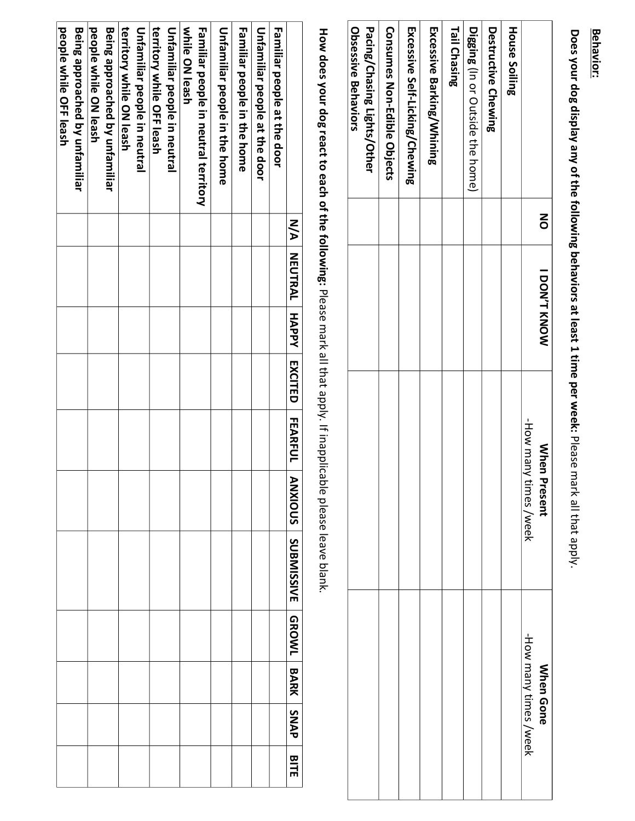# **Behavior: Behavior:**

Does your dog display any of the following behaviors at least 1 time per week: Please mark all that apply. **Does,your,dog,display,any,of,the,following,beh aviors,at,least,1,time,per,week:** Please mark all that apply.

|                                                    | $\mathsf{S}$ | <b>I DON'T KNOW</b> | <b>Mhen P</b><br>resent                                                                                           | <b>When Gone</b>          |
|----------------------------------------------------|--------------|---------------------|-------------------------------------------------------------------------------------------------------------------|---------------------------|
|                                                    |              |                     | How many ti<br>imes /week                                                                                         | -How many times /<br>Neek |
| <b>House Soiling</b>                               |              |                     |                                                                                                                   |                           |
| Destructive Chewing                                |              |                     |                                                                                                                   |                           |
| Digging (In or Outside the home)                   |              |                     |                                                                                                                   |                           |
| <b>Tail Chasing</b>                                |              |                     |                                                                                                                   |                           |
| <b>Excessive Barking/Whinia</b>                    |              |                     |                                                                                                                   |                           |
| Excessive Self-Licking/Chewing                     |              |                     |                                                                                                                   |                           |
| <b>Consumes Non-Faible Objects</b>                 |              |                     |                                                                                                                   |                           |
| Obsessive Behaviors<br>Pacing/Chasing Lights/Other |              |                     |                                                                                                                   |                           |
|                                                    |              |                     | How does your dog react to each of the following: Please mark all that apply. If inapplicable please leave blank. |                           |
|                                                    |              |                     |                                                                                                                   |                           |

| Familiar people at the door          | N/A   NEUTRAL   HAPPY   EXCITED   FEARFUL |  |  | ANS   SARS   SARVISSINE   GROWL   BARK   SARVISSING   SARVIS |  | arte |
|--------------------------------------|-------------------------------------------|--|--|--------------------------------------------------------------|--|------|
|                                      |                                           |  |  |                                                              |  |      |
| Unfamiliar people at the door        |                                           |  |  |                                                              |  |      |
| <b>Familiar people in the home</b>   |                                           |  |  |                                                              |  |      |
| <b>Unfamiliar people in the home</b> |                                           |  |  |                                                              |  |      |
| Familiar people in neutral territory |                                           |  |  |                                                              |  |      |
| while ON leash                       |                                           |  |  |                                                              |  |      |
| Unfamiliar people in neutral         |                                           |  |  |                                                              |  |      |
| territory Shile OFF leash            |                                           |  |  |                                                              |  |      |
| Unfamiliar people in neutral         |                                           |  |  |                                                              |  |      |
| territory Shile ON leash             |                                           |  |  |                                                              |  |      |
| Being approached by unfamiliar       |                                           |  |  |                                                              |  |      |
| people while ON leash                |                                           |  |  |                                                              |  |      |
| Being approached by unfamiliar       |                                           |  |  |                                                              |  |      |
| people synile OFF leash              |                                           |  |  |                                                              |  |      |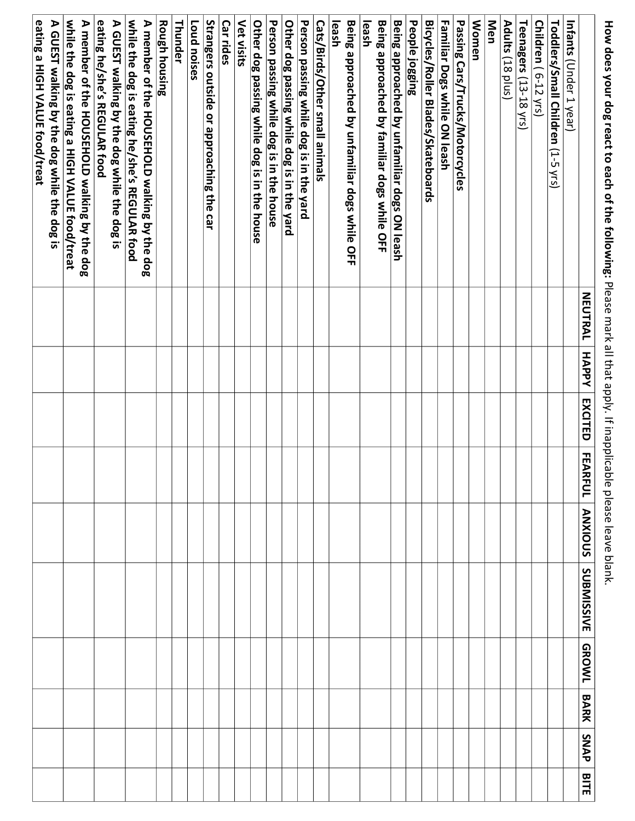How does your dog react to each of the following: Please mark all that apply. If inapplicable please leave blank. **How,does,your,dog,react,to,each,of,the,following:,**Please mark all that apply. If inapplicable please leave blank.

|                                                                                                 | <b>NEUTRAL</b> | HAPPY | <b>EXCITED</b> | FEAR<br>Ξ | <b>ANXIOUS</b> | <b>SUBMISSIVE</b> | <b>GROWL</b> | BARK | SNAP | BITE |
|-------------------------------------------------------------------------------------------------|----------------|-------|----------------|-----------|----------------|-------------------|--------------|------|------|------|
| <b>Infants (Under 1 year)</b>                                                                   |                |       |                |           |                |                   |              |      |      |      |
| Toddlers/Small Children (1-2 XLS)                                                               |                |       |                |           |                |                   |              |      |      |      |
| Children (6-12 yrs)                                                                             |                |       |                |           |                |                   |              |      |      |      |
| Teenagers (13-18 yrs)                                                                           |                |       |                |           |                |                   |              |      |      |      |
| Adults (18 plus)                                                                                |                |       |                |           |                |                   |              |      |      |      |
| Men                                                                                             |                |       |                |           |                |                   |              |      |      |      |
| <b>Women</b>                                                                                    |                |       |                |           |                |                   |              |      |      |      |
| Passing Cars/Trucks/Motorcycles                                                                 |                |       |                |           |                |                   |              |      |      |      |
| Familiar Dogs while ON leash                                                                    |                |       |                |           |                |                   |              |      |      |      |
| <b>Bicycles/Roller Blades/Skateboards</b>                                                       |                |       |                |           |                |                   |              |      |      |      |
| People jogging                                                                                  |                |       |                |           |                |                   |              |      |      |      |
| Being approached by unfamiliar dogs ON leash                                                    |                |       |                |           |                |                   |              |      |      |      |
| Being approached by familiar dogs while OFF                                                     |                |       |                |           |                |                   |              |      |      |      |
| leash                                                                                           |                |       |                |           |                |                   |              |      |      |      |
| leash<br>Being approached by unfamiliar dogs while OFF                                          |                |       |                |           |                |                   |              |      |      |      |
| Cats/Birds/Other small animals                                                                  |                |       |                |           |                |                   |              |      |      |      |
| Person passing while dog is in the yard                                                         |                |       |                |           |                |                   |              |      |      |      |
| Other dog passing while dog is in the yard                                                      |                |       |                |           |                |                   |              |      |      |      |
| Person passing while dog is in the house                                                        |                |       |                |           |                |                   |              |      |      |      |
| Other dog passing while dog is in the house                                                     |                |       |                |           |                |                   |              |      |      |      |
| Vet visits                                                                                      |                |       |                |           |                |                   |              |      |      |      |
| Car rides                                                                                       |                |       |                |           |                |                   |              |      |      |      |
| Strangers outside or approaching the car                                                        |                |       |                |           |                |                   |              |      |      |      |
| Loud noises                                                                                     |                |       |                |           |                |                   |              |      |      |      |
| Thunder                                                                                         |                |       |                |           |                |                   |              |      |      |      |
| <b>Rough housing</b>                                                                            |                |       |                |           |                |                   |              |      |      |      |
| A member of the HOUSEHOLD walking by the dog                                                    |                |       |                |           |                |                   |              |      |      |      |
| while the dog is eating he/she's REGULAR food                                                   |                |       |                |           |                |                   |              |      |      |      |
| A GUEST walking by the dog while the dog is                                                     |                |       |                |           |                |                   |              |      |      |      |
| eating he/she/s REGULAR tood                                                                    |                |       |                |           |                |                   |              |      |      |      |
| while the dog is eating a HIGH VALUE food/treat<br>A member of the HOUSEHOLD walking by the dog |                |       |                |           |                |                   |              |      |      |      |
| A GUEST walking by the dog while the dog is                                                     |                |       |                |           |                |                   |              |      |      |      |
| eating a HIGH VALUE food/treat                                                                  |                |       |                |           |                |                   |              |      |      |      |
|                                                                                                 |                |       |                |           |                |                   |              |      |      |      |